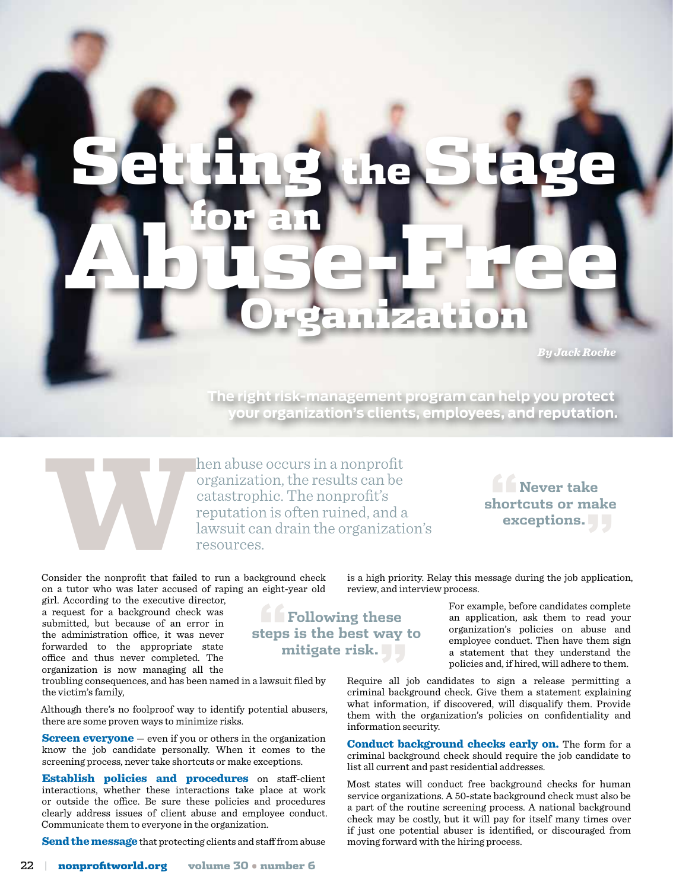## Setting the Stage for an Organization Abuse-Free

*By Jack Roche*

**The right risk-management program can help you protect your organization's clients, employees, and reputation.**



hen abuse occurs in a nonprofit<br>organization, the results can be<br>catastrophic. The nonprofit's<br>reputation is often ruined, and a<br>lawsuit can drain the organizati<br>resources. organization, the results can be catastrophic. The nonprofit's reputation is often ruined, and a lawsuit can drain the organization's resources.

Consider the nonprofit that failed to run a background check on a tutor who was later accused of raping an eight-year old

girl. According to the executive director, a request for a background check was submitted, but because of an error in the administration office, it was never forwarded to the appropriate state office and thus never completed. The organization is now managing all the

troubling consequences, and has been named in a lawsuit filed by the victim's family,

Although there's no foolproof way to identify potential abusers, there are some proven ways to minimize risks.

**Screen everyone** – even if you or others in the organization know the job candidate personally. When it comes to the screening process, never take shortcuts or make exceptions.

Establish policies and procedures on staff-client interactions, whether these interactions take place at work or outside the office. Be sure these policies and procedures clearly address issues of client abuse and employee conduct. Communicate them to everyone in the organization.

Send the message that protecting clients and staff from abuse

22 **| nonprofitworld.org** volume 30 • number 6

is a high priority. Relay this message during the job application, review, and interview process.

**The Following these**<br>**teps is the best way**<br>mitigate risk. **steps is the best way to mitigate risk."**

For example, before candidates complete an application, ask them to read your organization's policies on abuse and employee conduct. Then have them sign a statement that they understand the policies and, if hired, will adhere to them.

**"Never take shortcuts or make exceptions."**

Require all job candidates to sign a release permitting a criminal background check. Give them a statement explaining what information, if discovered, will disqualify them. Provide them with the organization's policies on confidentiality and information security.

Conduct background checks early on. The form for a criminal background check should require the job candidate to list all current and past residential addresses.

Most states will conduct free background checks for human service organizations. A 50-state background check must also be a part of the routine screening process. A national background check may be costly, but it will pay for itself many times over if just one potential abuser is identified, or discouraged from moving forward with the hiring process.